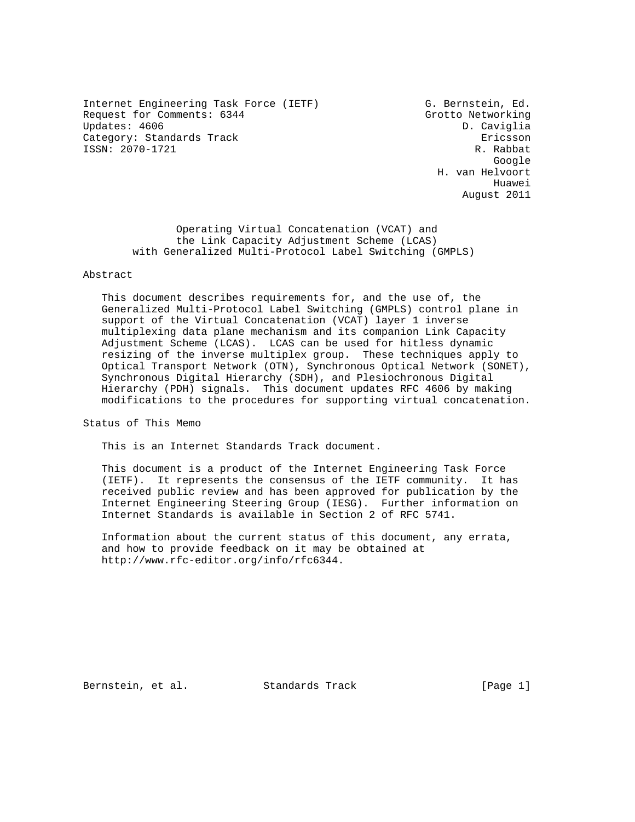Internet Engineering Task Force (IETF) G. Bernstein, Ed. Request for Comments: 6344 Grotto Networking Updates: 4606 D. Caviglia Category: Standards Track extension of the Ericsson ISSN: 2070-1721 R. Rabbat

google is a straightforward of the control of the control of the control of the control of the control of the c H. van Helvoort he distributed by the control of the control of the control of the control of the control of the control of the control of the control of the control of the control of the control of the control of the control of the contr August 2011

> Operating Virtual Concatenation (VCAT) and the Link Capacity Adjustment Scheme (LCAS) with Generalized Multi-Protocol Label Switching (GMPLS)

Abstract

 This document describes requirements for, and the use of, the Generalized Multi-Protocol Label Switching (GMPLS) control plane in support of the Virtual Concatenation (VCAT) layer 1 inverse multiplexing data plane mechanism and its companion Link Capacity Adjustment Scheme (LCAS). LCAS can be used for hitless dynamic resizing of the inverse multiplex group. These techniques apply to Optical Transport Network (OTN), Synchronous Optical Network (SONET), Synchronous Digital Hierarchy (SDH), and Plesiochronous Digital Hierarchy (PDH) signals. This document updates RFC 4606 by making modifications to the procedures for supporting virtual concatenation.

Status of This Memo

This is an Internet Standards Track document.

 This document is a product of the Internet Engineering Task Force (IETF). It represents the consensus of the IETF community. It has received public review and has been approved for publication by the Internet Engineering Steering Group (IESG). Further information on Internet Standards is available in Section 2 of RFC 5741.

 Information about the current status of this document, any errata, and how to provide feedback on it may be obtained at http://www.rfc-editor.org/info/rfc6344.

Bernstein, et al. Standards Track [Page 1]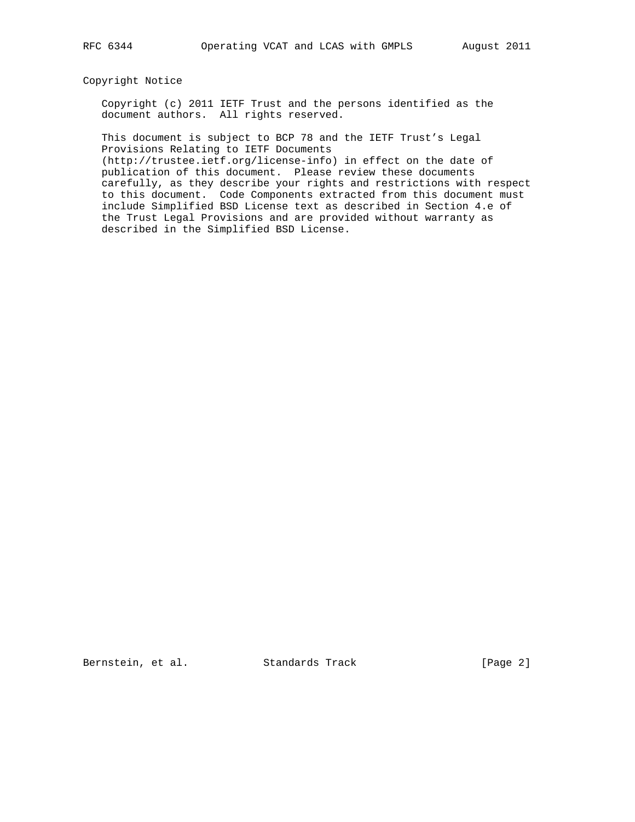## Copyright Notice

 Copyright (c) 2011 IETF Trust and the persons identified as the document authors. All rights reserved.

 This document is subject to BCP 78 and the IETF Trust's Legal Provisions Relating to IETF Documents

 (http://trustee.ietf.org/license-info) in effect on the date of publication of this document. Please review these documents carefully, as they describe your rights and restrictions with respect to this document. Code Components extracted from this document must include Simplified BSD License text as described in Section 4.e of the Trust Legal Provisions and are provided without warranty as described in the Simplified BSD License.

Bernstein, et al. Standards Track [Page 2]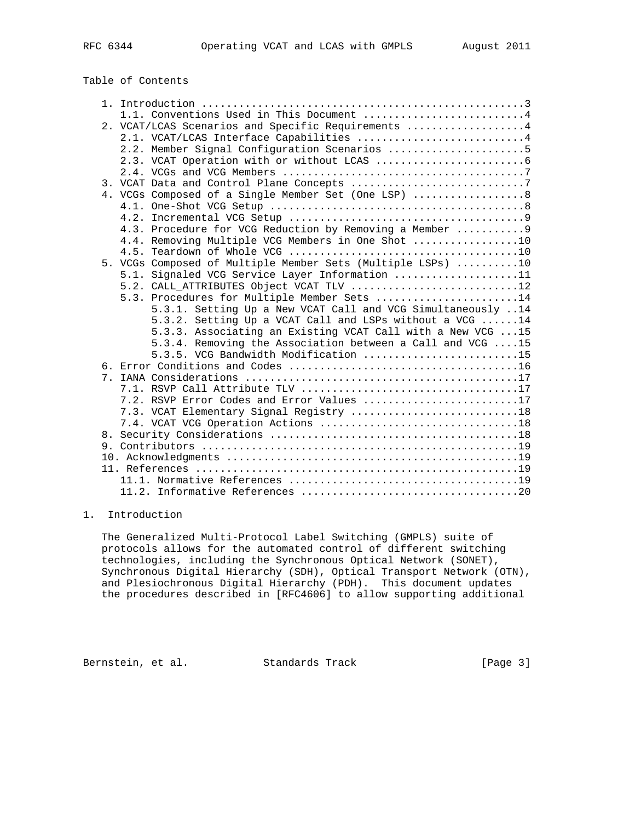# Table of Contents

|  | 1.1. Conventions Used in This Document 4                    |
|--|-------------------------------------------------------------|
|  | 2. VCAT/LCAS Scenarios and Specific Requirements 4          |
|  | 2.1. VCAT/LCAS Interface Capabilities 4                     |
|  | 2.2. Member Signal Configuration Scenarios 5                |
|  |                                                             |
|  |                                                             |
|  | 3. VCAT Data and Control Plane Concepts 7                   |
|  | 4. VCGs Composed of a Single Member Set (One LSP)  8        |
|  |                                                             |
|  |                                                             |
|  | 4.3. Procedure for VCG Reduction by Removing a Member  9    |
|  | 4.4. Removing Multiple VCG Members in One Shot 10           |
|  |                                                             |
|  | 5. VCGs Composed of Multiple Member Sets (Multiple LSPs) 10 |
|  | 5.1. Signaled VCG Service Layer Information 11              |
|  | 5.2. CALL ATTRIBUTES Object VCAT TLV 12                     |
|  | 5.3. Procedures for Multiple Member Sets 14                 |
|  | 5.3.1. Setting Up a New VCAT Call and VCG Simultaneously 14 |
|  | 5.3.2. Setting Up a VCAT Call and LSPs without a VCG 14     |
|  | 5.3.3. Associating an Existing VCAT Call with a New VCG 15  |
|  | 5.3.4. Removing the Association between a Call and VCG 15   |
|  | 5.3.5. VCG Bandwidth Modification 15                        |
|  |                                                             |
|  |                                                             |
|  |                                                             |
|  | 7.2. RSVP Error Codes and Error Values 17                   |
|  | 7.3. VCAT Elementary Signal Registry 18                     |
|  |                                                             |
|  |                                                             |
|  |                                                             |
|  |                                                             |
|  |                                                             |
|  |                                                             |
|  |                                                             |

## 1. Introduction

 The Generalized Multi-Protocol Label Switching (GMPLS) suite of protocols allows for the automated control of different switching technologies, including the Synchronous Optical Network (SONET), Synchronous Digital Hierarchy (SDH), Optical Transport Network (OTN), and Plesiochronous Digital Hierarchy (PDH). This document updates the procedures described in [RFC4606] to allow supporting additional

Bernstein, et al. Standards Track [Page 3]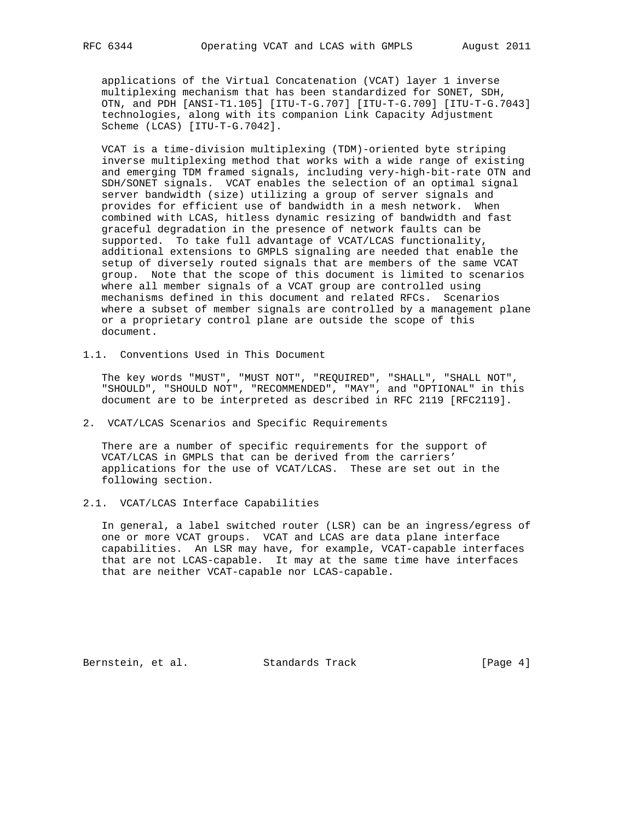applications of the Virtual Concatenation (VCAT) layer 1 inverse multiplexing mechanism that has been standardized for SONET, SDH, OTN, and PDH [ANSI-T1.105] [ITU-T-G.707] [ITU-T-G.709] [ITU-T-G.7043] technologies, along with its companion Link Capacity Adjustment Scheme (LCAS) [ITU-T-G.7042].

 VCAT is a time-division multiplexing (TDM)-oriented byte striping inverse multiplexing method that works with a wide range of existing and emerging TDM framed signals, including very-high-bit-rate OTN and SDH/SONET signals. VCAT enables the selection of an optimal signal server bandwidth (size) utilizing a group of server signals and provides for efficient use of bandwidth in a mesh network. When combined with LCAS, hitless dynamic resizing of bandwidth and fast graceful degradation in the presence of network faults can be supported. To take full advantage of VCAT/LCAS functionality, additional extensions to GMPLS signaling are needed that enable the setup of diversely routed signals that are members of the same VCAT group. Note that the scope of this document is limited to scenarios where all member signals of a VCAT group are controlled using mechanisms defined in this document and related RFCs. Scenarios where a subset of member signals are controlled by a management plane or a proprietary control plane are outside the scope of this document.

1.1. Conventions Used in This Document

 The key words "MUST", "MUST NOT", "REQUIRED", "SHALL", "SHALL NOT", "SHOULD", "SHOULD NOT", "RECOMMENDED", "MAY", and "OPTIONAL" in this document are to be interpreted as described in RFC 2119 [RFC2119].

2. VCAT/LCAS Scenarios and Specific Requirements

 There are a number of specific requirements for the support of VCAT/LCAS in GMPLS that can be derived from the carriers' applications for the use of VCAT/LCAS. These are set out in the following section.

2.1. VCAT/LCAS Interface Capabilities

 In general, a label switched router (LSR) can be an ingress/egress of one or more VCAT groups. VCAT and LCAS are data plane interface capabilities. An LSR may have, for example, VCAT-capable interfaces that are not LCAS-capable. It may at the same time have interfaces that are neither VCAT-capable nor LCAS-capable.

Bernstein, et al. Standards Track [Page 4]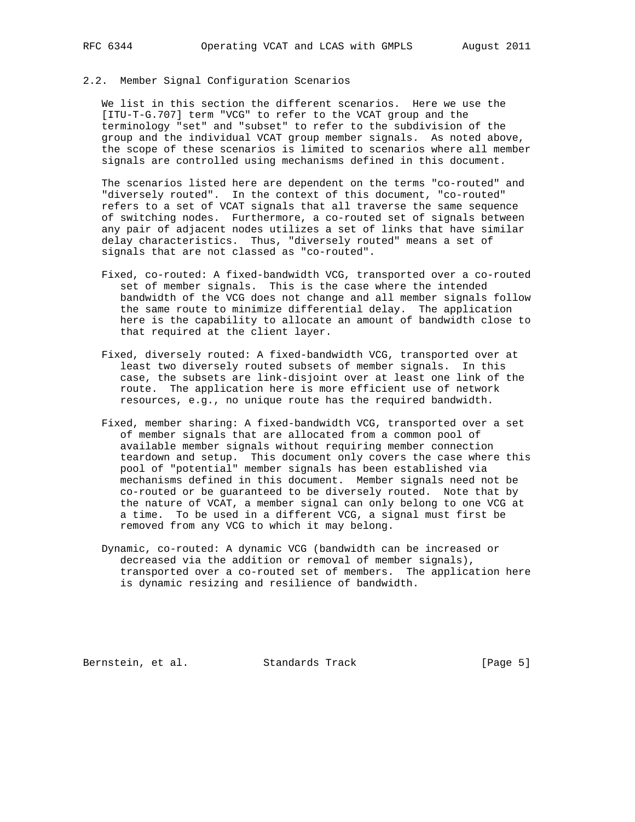## 2.2. Member Signal Configuration Scenarios

 We list in this section the different scenarios. Here we use the [ITU-T-G.707] term "VCG" to refer to the VCAT group and the terminology "set" and "subset" to refer to the subdivision of the group and the individual VCAT group member signals. As noted above, the scope of these scenarios is limited to scenarios where all member signals are controlled using mechanisms defined in this document.

 The scenarios listed here are dependent on the terms "co-routed" and "diversely routed". In the context of this document, "co-routed" refers to a set of VCAT signals that all traverse the same sequence of switching nodes. Furthermore, a co-routed set of signals between any pair of adjacent nodes utilizes a set of links that have similar delay characteristics. Thus, "diversely routed" means a set of signals that are not classed as "co-routed".

- Fixed, co-routed: A fixed-bandwidth VCG, transported over a co-routed set of member signals. This is the case where the intended bandwidth of the VCG does not change and all member signals follow the same route to minimize differential delay. The application here is the capability to allocate an amount of bandwidth close to that required at the client layer.
- Fixed, diversely routed: A fixed-bandwidth VCG, transported over at least two diversely routed subsets of member signals. In this case, the subsets are link-disjoint over at least one link of the route. The application here is more efficient use of network resources, e.g., no unique route has the required bandwidth.
- Fixed, member sharing: A fixed-bandwidth VCG, transported over a set of member signals that are allocated from a common pool of available member signals without requiring member connection teardown and setup. This document only covers the case where this pool of "potential" member signals has been established via mechanisms defined in this document. Member signals need not be co-routed or be guaranteed to be diversely routed. Note that by the nature of VCAT, a member signal can only belong to one VCG at a time. To be used in a different VCG, a signal must first be removed from any VCG to which it may belong.
- Dynamic, co-routed: A dynamic VCG (bandwidth can be increased or decreased via the addition or removal of member signals), transported over a co-routed set of members. The application here is dynamic resizing and resilience of bandwidth.

Bernstein, et al. Standards Track [Page 5]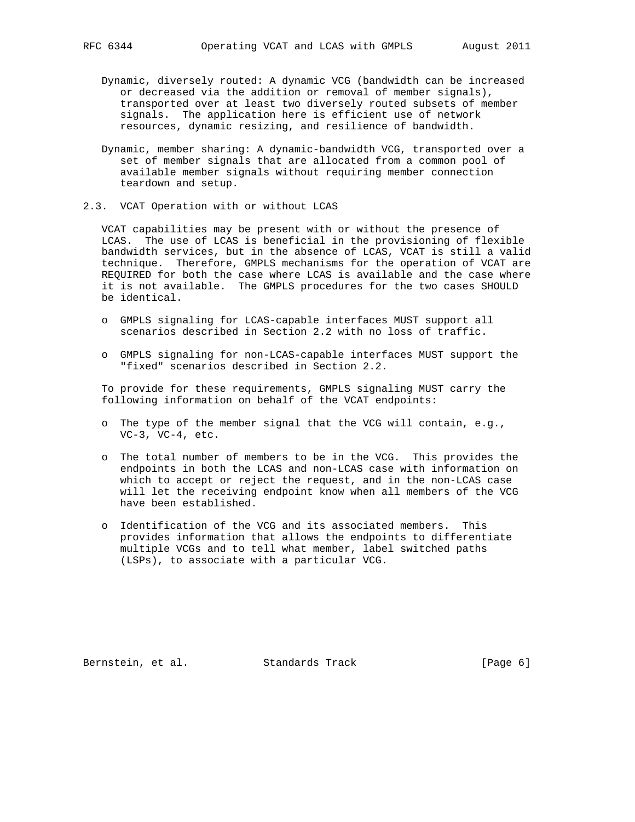- Dynamic, diversely routed: A dynamic VCG (bandwidth can be increased or decreased via the addition or removal of member signals), transported over at least two diversely routed subsets of member signals. The application here is efficient use of network resources, dynamic resizing, and resilience of bandwidth.
- Dynamic, member sharing: A dynamic-bandwidth VCG, transported over a set of member signals that are allocated from a common pool of available member signals without requiring member connection teardown and setup.
- 2.3. VCAT Operation with or without LCAS

 VCAT capabilities may be present with or without the presence of LCAS. The use of LCAS is beneficial in the provisioning of flexible bandwidth services, but in the absence of LCAS, VCAT is still a valid technique. Therefore, GMPLS mechanisms for the operation of VCAT are REQUIRED for both the case where LCAS is available and the case where it is not available. The GMPLS procedures for the two cases SHOULD be identical.

- o GMPLS signaling for LCAS-capable interfaces MUST support all scenarios described in Section 2.2 with no loss of traffic.
- o GMPLS signaling for non-LCAS-capable interfaces MUST support the "fixed" scenarios described in Section 2.2.

 To provide for these requirements, GMPLS signaling MUST carry the following information on behalf of the VCAT endpoints:

- o The type of the member signal that the VCG will contain, e.g., VC-3, VC-4, etc.
- o The total number of members to be in the VCG. This provides the endpoints in both the LCAS and non-LCAS case with information on which to accept or reject the request, and in the non-LCAS case will let the receiving endpoint know when all members of the VCG have been established.
- o Identification of the VCG and its associated members. This provides information that allows the endpoints to differentiate multiple VCGs and to tell what member, label switched paths (LSPs), to associate with a particular VCG.

Bernstein, et al. Standards Track [Page 6]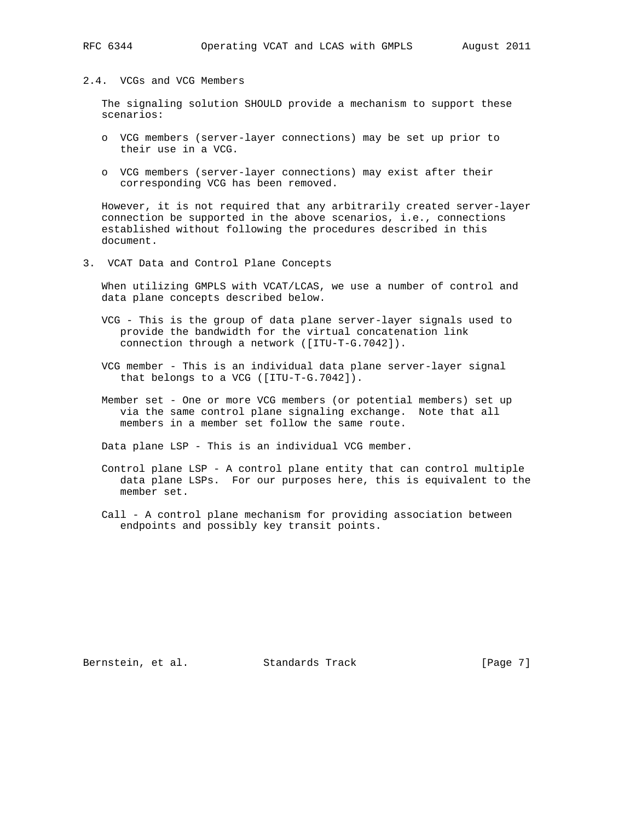#### RFC 6344 Operating VCAT and LCAS with GMPLS August 2011

## 2.4. VCGs and VCG Members

 The signaling solution SHOULD provide a mechanism to support these scenarios:

- o VCG members (server-layer connections) may be set up prior to their use in a VCG.
- o VCG members (server-layer connections) may exist after their corresponding VCG has been removed.

 However, it is not required that any arbitrarily created server-layer connection be supported in the above scenarios, i.e., connections established without following the procedures described in this document.

3. VCAT Data and Control Plane Concepts

 When utilizing GMPLS with VCAT/LCAS, we use a number of control and data plane concepts described below.

- VCG This is the group of data plane server-layer signals used to provide the bandwidth for the virtual concatenation link connection through a network ([ITU-T-G.7042]).
- VCG member This is an individual data plane server-layer signal that belongs to a VCG ([ITU-T-G.7042]).
- Member set One or more VCG members (or potential members) set up via the same control plane signaling exchange. Note that all members in a member set follow the same route.

Data plane LSP - This is an individual VCG member.

- Control plane LSP A control plane entity that can control multiple data plane LSPs. For our purposes here, this is equivalent to the member set.
- Call A control plane mechanism for providing association between endpoints and possibly key transit points.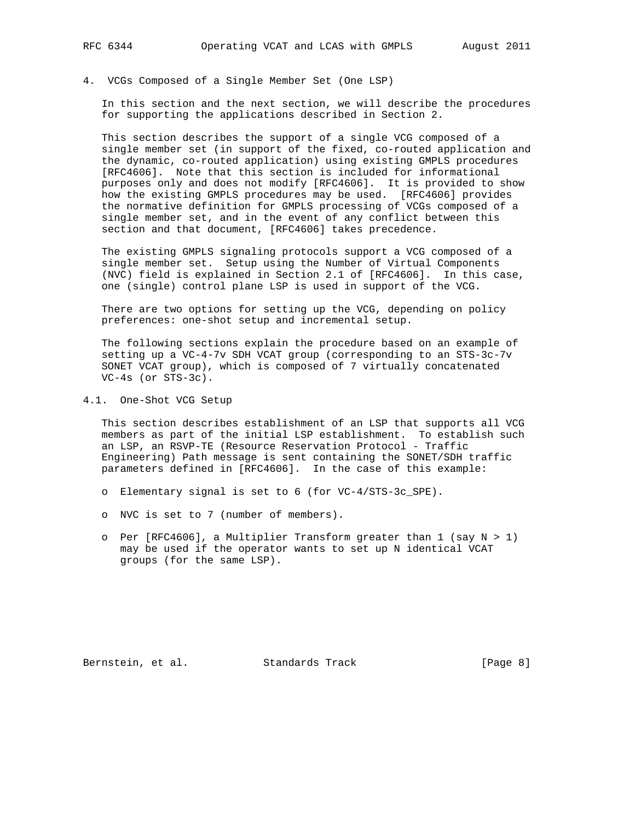4. VCGs Composed of a Single Member Set (One LSP)

 In this section and the next section, we will describe the procedures for supporting the applications described in Section 2.

 This section describes the support of a single VCG composed of a single member set (in support of the fixed, co-routed application and the dynamic, co-routed application) using existing GMPLS procedures [RFC4606]. Note that this section is included for informational purposes only and does not modify [RFC4606]. It is provided to show how the existing GMPLS procedures may be used. [RFC4606] provides the normative definition for GMPLS processing of VCGs composed of a single member set, and in the event of any conflict between this section and that document, [RFC4606] takes precedence.

 The existing GMPLS signaling protocols support a VCG composed of a single member set. Setup using the Number of Virtual Components (NVC) field is explained in Section 2.1 of [RFC4606]. In this case, one (single) control plane LSP is used in support of the VCG.

 There are two options for setting up the VCG, depending on policy preferences: one-shot setup and incremental setup.

 The following sections explain the procedure based on an example of setting up a VC-4-7v SDH VCAT group (corresponding to an STS-3c-7v SONET VCAT group), which is composed of 7 virtually concatenated VC-4s (or STS-3c).

4.1. One-Shot VCG Setup

 This section describes establishment of an LSP that supports all VCG members as part of the initial LSP establishment. To establish such an LSP, an RSVP-TE (Resource Reservation Protocol - Traffic Engineering) Path message is sent containing the SONET/SDH traffic parameters defined in [RFC4606]. In the case of this example:

- o Elementary signal is set to 6 (for VC-4/STS-3c\_SPE).
- o NVC is set to 7 (number of members).
- o Per [RFC4606], a Multiplier Transform greater than 1 (say N > 1) may be used if the operator wants to set up N identical VCAT groups (for the same LSP).

Bernstein, et al. Standards Track [Page 8]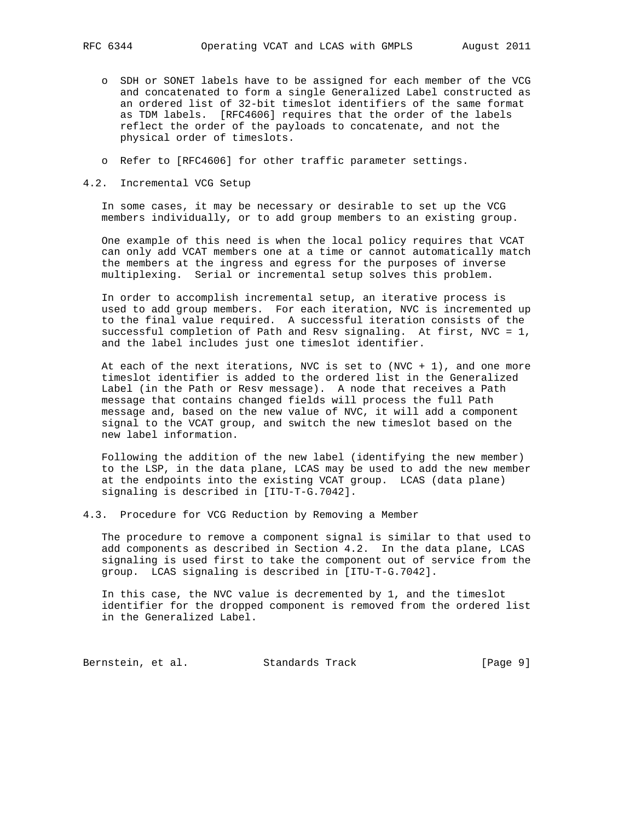- o SDH or SONET labels have to be assigned for each member of the VCG and concatenated to form a single Generalized Label constructed as an ordered list of 32-bit timeslot identifiers of the same format as TDM labels. [RFC4606] requires that the order of the labels reflect the order of the payloads to concatenate, and not the physical order of timeslots.
- o Refer to [RFC4606] for other traffic parameter settings.
- 4.2. Incremental VCG Setup

 In some cases, it may be necessary or desirable to set up the VCG members individually, or to add group members to an existing group.

 One example of this need is when the local policy requires that VCAT can only add VCAT members one at a time or cannot automatically match the members at the ingress and egress for the purposes of inverse multiplexing. Serial or incremental setup solves this problem.

 In order to accomplish incremental setup, an iterative process is used to add group members. For each iteration, NVC is incremented up to the final value required. A successful iteration consists of the successful completion of Path and Resv signaling. At first, NVC = 1, and the label includes just one timeslot identifier.

At each of the next iterations, NVC is set to  $(NVC + 1)$ , and one more timeslot identifier is added to the ordered list in the Generalized Label (in the Path or Resv message). A node that receives a Path message that contains changed fields will process the full Path message and, based on the new value of NVC, it will add a component signal to the VCAT group, and switch the new timeslot based on the new label information.

 Following the addition of the new label (identifying the new member) to the LSP, in the data plane, LCAS may be used to add the new member at the endpoints into the existing VCAT group. LCAS (data plane) signaling is described in [ITU-T-G.7042].

4.3. Procedure for VCG Reduction by Removing a Member

 The procedure to remove a component signal is similar to that used to add components as described in Section 4.2. In the data plane, LCAS signaling is used first to take the component out of service from the group. LCAS signaling is described in [ITU-T-G.7042].

 In this case, the NVC value is decremented by 1, and the timeslot identifier for the dropped component is removed from the ordered list in the Generalized Label.

Bernstein, et al. Standards Track [Page 9]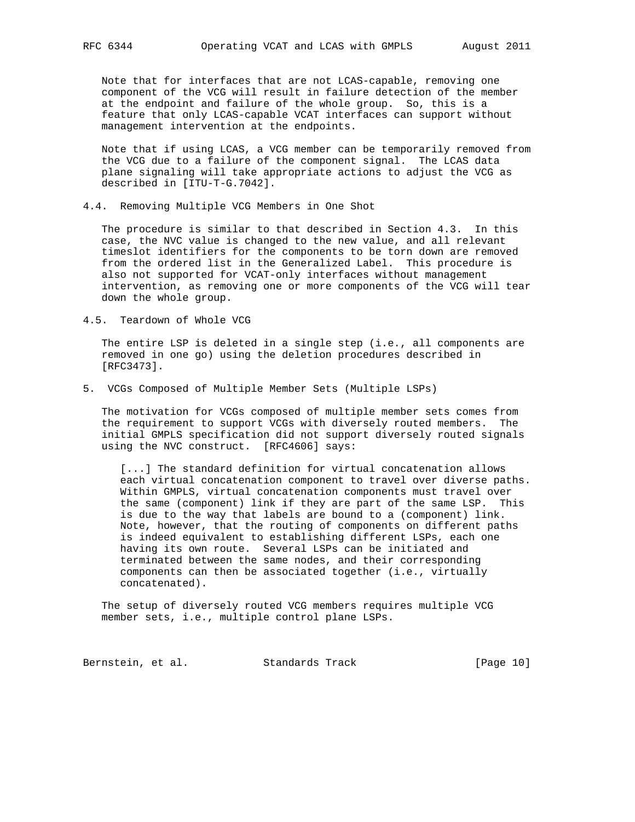Note that for interfaces that are not LCAS-capable, removing one component of the VCG will result in failure detection of the member at the endpoint and failure of the whole group. So, this is a feature that only LCAS-capable VCAT interfaces can support without management intervention at the endpoints.

 Note that if using LCAS, a VCG member can be temporarily removed from the VCG due to a failure of the component signal. The LCAS data plane signaling will take appropriate actions to adjust the VCG as described in [ITU-T-G.7042].

4.4. Removing Multiple VCG Members in One Shot

 The procedure is similar to that described in Section 4.3. In this case, the NVC value is changed to the new value, and all relevant timeslot identifiers for the components to be torn down are removed from the ordered list in the Generalized Label. This procedure is also not supported for VCAT-only interfaces without management intervention, as removing one or more components of the VCG will tear down the whole group.

4.5. Teardown of Whole VCG

 The entire LSP is deleted in a single step (i.e., all components are removed in one go) using the deletion procedures described in [RFC3473].

5. VCGs Composed of Multiple Member Sets (Multiple LSPs)

 The motivation for VCGs composed of multiple member sets comes from the requirement to support VCGs with diversely routed members. The initial GMPLS specification did not support diversely routed signals using the NVC construct. [RFC4606] says:

 [...] The standard definition for virtual concatenation allows each virtual concatenation component to travel over diverse paths. Within GMPLS, virtual concatenation components must travel over the same (component) link if they are part of the same LSP. This is due to the way that labels are bound to a (component) link. Note, however, that the routing of components on different paths is indeed equivalent to establishing different LSPs, each one having its own route. Several LSPs can be initiated and terminated between the same nodes, and their corresponding components can then be associated together (i.e., virtually concatenated).

 The setup of diversely routed VCG members requires multiple VCG member sets, i.e., multiple control plane LSPs.

Bernstein, et al. Standards Track [Page 10]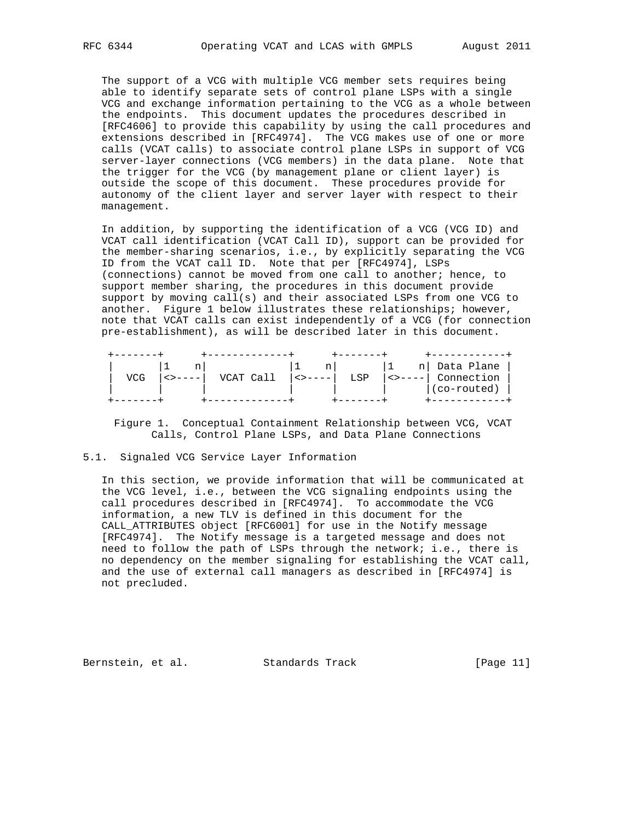The support of a VCG with multiple VCG member sets requires being able to identify separate sets of control plane LSPs with a single VCG and exchange information pertaining to the VCG as a whole between the endpoints. This document updates the procedures described in [RFC4606] to provide this capability by using the call procedures and extensions described in [RFC4974]. The VCG makes use of one or more calls (VCAT calls) to associate control plane LSPs in support of VCG server-layer connections (VCG members) in the data plane. Note that the trigger for the VCG (by management plane or client layer) is outside the scope of this document. These procedures provide for autonomy of the client layer and server layer with respect to their management.

 In addition, by supporting the identification of a VCG (VCG ID) and VCAT call identification (VCAT Call ID), support can be provided for the member-sharing scenarios, i.e., by explicitly separating the VCG ID from the VCAT call ID. Note that per [RFC4974], LSPs (connections) cannot be moved from one call to another; hence, to support member sharing, the procedures in this document provide support by moving call(s) and their associated LSPs from one VCG to another. Figure 1 below illustrates these relationships; however, note that VCAT calls can exist independently of a VCG (for connection pre-establishment), as will be described later in this document.

|  |           | n l                         |     |                                                                                                                                                                                                                                                                                                                                                                                                                                             | n  Data Plane |
|--|-----------|-----------------------------|-----|---------------------------------------------------------------------------------------------------------------------------------------------------------------------------------------------------------------------------------------------------------------------------------------------------------------------------------------------------------------------------------------------------------------------------------------------|---------------|
|  | VCAT Call | $  \leftrightarrow - - -  $ | LSP | $\left\langle \right.$ $\left. \right\rangle$ $\left. \right.$ $\left. \right.$ $\left. \right.$ $\left. \right.$ $\left. \right.$ $\left. \right.$ $\left. \right.$ $\left. \right.$ $\left. \right.$ $\left. \right.$ $\left. \right.$ $\left. \right.$ $\left. \right.$ $\left. \right.$ $\left. \right.$ $\left. \right.$ $\left. \right.$ $\left. \right.$ $\left. \right.$ $\left. \right.$ $\left. \right.$ $\left. \right.$ $\left$ | Connection    |
|  |           |                             |     |                                                                                                                                                                                                                                                                                                                                                                                                                                             | (co-routed)   |
|  |           |                             |     |                                                                                                                                                                                                                                                                                                                                                                                                                                             |               |

Figure 1. Conceptual Containment Relationship between VCG, VCAT Calls, Control Plane LSPs, and Data Plane Connections

## 5.1. Signaled VCG Service Layer Information

 In this section, we provide information that will be communicated at the VCG level, i.e., between the VCG signaling endpoints using the call procedures described in [RFC4974]. To accommodate the VCG information, a new TLV is defined in this document for the CALL\_ATTRIBUTES object [RFC6001] for use in the Notify message [RFC4974]. The Notify message is a targeted message and does not need to follow the path of LSPs through the network; i.e., there is no dependency on the member signaling for establishing the VCAT call, and the use of external call managers as described in [RFC4974] is not precluded.

Bernstein, et al. Standards Track [Page 11]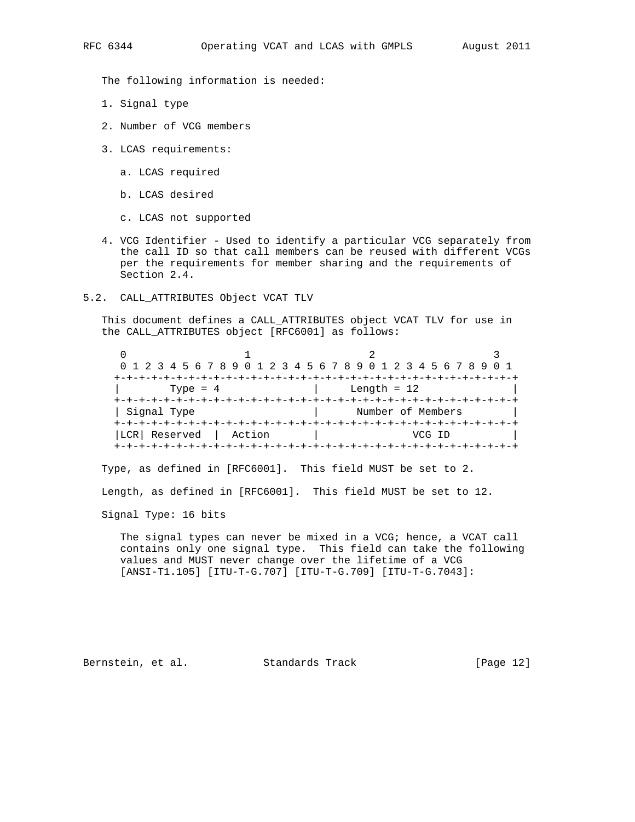The following information is needed:

- 1. Signal type
- 2. Number of VCG members
- 3. LCAS requirements:
	- a. LCAS required
	- b. LCAS desired
	- c. LCAS not supported
- 4. VCG Identifier Used to identify a particular VCG separately from the call ID so that call members can be reused with different VCGs per the requirements for member sharing and the requirements of Section 2.4.
- 5.2. CALL\_ATTRIBUTES Object VCAT TLV

 This document defines a CALL\_ATTRIBUTES object VCAT TLV for use in the CALL\_ATTRIBUTES object [RFC6001] as follows:

| 0 1 2 3 4 5 6 7 8 9 0 1 2 3 4 5 6 7 8 9 0 1 2 3 4 5 6 7 8 9 0 1 |                                     |                   |        |  |
|-----------------------------------------------------------------|-------------------------------------|-------------------|--------|--|
|                                                                 | --+-+-+-+-+-+-+-+-+-+-+-+-+-+-+-+-+ |                   |        |  |
| Type = $4$                                                      |                                     | Length = $12$     |        |  |
|                                                                 |                                     |                   |        |  |
| Signal Type                                                     |                                     | Number of Members |        |  |
|                                                                 |                                     |                   |        |  |
| Reserved<br>LCR  <br>Action                                     |                                     |                   | VMG TR |  |
|                                                                 |                                     |                   |        |  |

Type, as defined in [RFC6001]. This field MUST be set to 2.

Length, as defined in [RFC6001]. This field MUST be set to 12.

Signal Type: 16 bits

 The signal types can never be mixed in a VCG; hence, a VCAT call contains only one signal type. This field can take the following values and MUST never change over the lifetime of a VCG [ANSI-T1.105] [ITU-T-G.707] [ITU-T-G.709] [ITU-T-G.7043]:

Bernstein, et al. Standards Track [Page 12]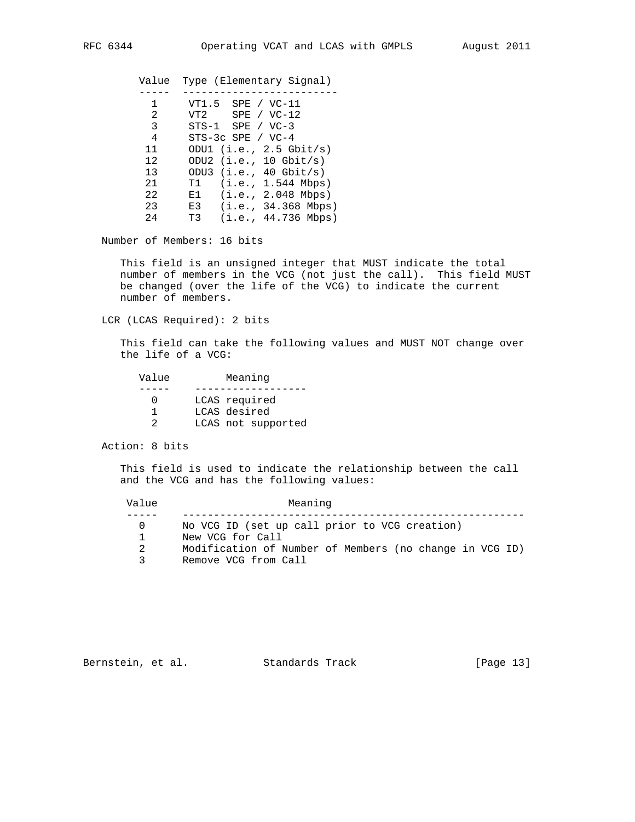| Value | Type (Elementary Signal)   |
|-------|----------------------------|
|       |                            |
| 1     | $VT1.5$ SPE / $VC-11$      |
| 2     | $VT2$ SPE / $VC-12$        |
| 3     | $STS-1$ $SPE / VC-3$       |
| 4     | $STS-3c$ SPE / $VC-4$      |
| 11    | ODU1 $(i.e., 2.5 Ghit/s)$  |
| 12    | ODU2 $(i.e., 10 Ghit/s)$   |
| 13    | ODU3 $(i.e., 40 Ghit/s)$   |
| 21    | (i.e., 1.544 Mbps)<br>T1 - |
| 22    | $E1$ (i.e., 2.048 Mbps)    |
| 23    | E3 $(i.e., 34.368 Mbps)$   |
| 24    | (i.e., 44.736 Mbps)<br>T3  |
|       |                            |

Number of Members: 16 bits

 This field is an unsigned integer that MUST indicate the total number of members in the VCG (not just the call). This field MUST be changed (over the life of the VCG) to indicate the current number of members.

LCR (LCAS Required): 2 bits

 This field can take the following values and MUST NOT change over the life of a VCG:

| Value | Meaning            |
|-------|--------------------|
|       |                    |
|       | LCAS required      |
|       | LCAS desired       |
|       | LCAS not supported |

Action: 8 bits

 This field is used to indicate the relationship between the call and the VCG and has the following values:

| Value        | Meaning                                                 |  |  |  |
|--------------|---------------------------------------------------------|--|--|--|
|              | No VCG ID (set up call prior to VCG creation)           |  |  |  |
|              | New VCG for Call                                        |  |  |  |
| 2            | Modification of Number of Members (no change in VCG ID) |  |  |  |
| $\mathbf{R}$ | Remove VCG from Call                                    |  |  |  |

Bernstein, et al. Standards Track [Page 13]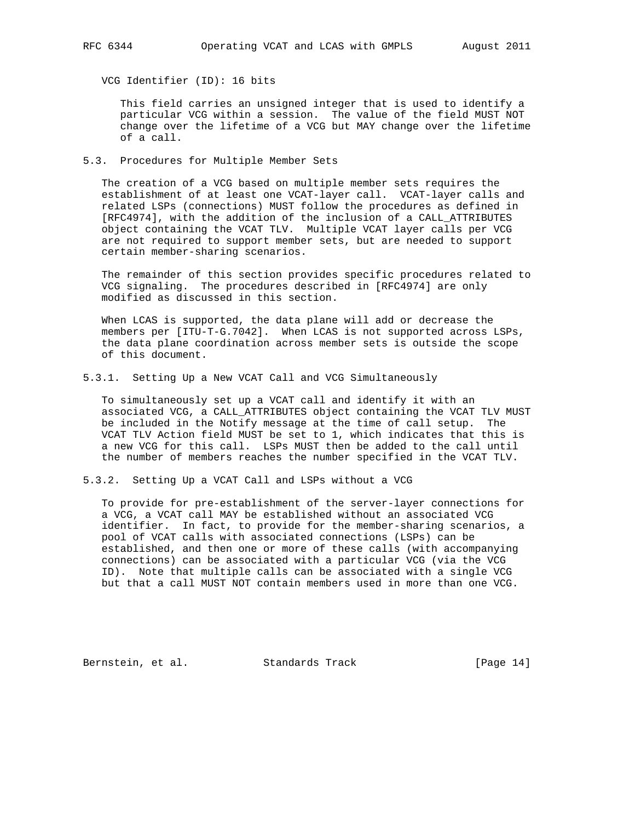VCG Identifier (ID): 16 bits

 This field carries an unsigned integer that is used to identify a particular VCG within a session. The value of the field MUST NOT change over the lifetime of a VCG but MAY change over the lifetime of a call.

5.3. Procedures for Multiple Member Sets

 The creation of a VCG based on multiple member sets requires the establishment of at least one VCAT-layer call. VCAT-layer calls and related LSPs (connections) MUST follow the procedures as defined in [RFC4974], with the addition of the inclusion of a CALL\_ATTRIBUTES object containing the VCAT TLV. Multiple VCAT layer calls per VCG are not required to support member sets, but are needed to support certain member-sharing scenarios.

 The remainder of this section provides specific procedures related to VCG signaling. The procedures described in [RFC4974] are only modified as discussed in this section.

 When LCAS is supported, the data plane will add or decrease the members per [ITU-T-G.7042]. When LCAS is not supported across LSPs, the data plane coordination across member sets is outside the scope of this document.

5.3.1. Setting Up a New VCAT Call and VCG Simultaneously

 To simultaneously set up a VCAT call and identify it with an associated VCG, a CALL\_ATTRIBUTES object containing the VCAT TLV MUST be included in the Notify message at the time of call setup. The VCAT TLV Action field MUST be set to 1, which indicates that this is a new VCG for this call. LSPs MUST then be added to the call until the number of members reaches the number specified in the VCAT TLV.

5.3.2. Setting Up a VCAT Call and LSPs without a VCG

 To provide for pre-establishment of the server-layer connections for a VCG, a VCAT call MAY be established without an associated VCG identifier. In fact, to provide for the member-sharing scenarios, a pool of VCAT calls with associated connections (LSPs) can be established, and then one or more of these calls (with accompanying connections) can be associated with a particular VCG (via the VCG ID). Note that multiple calls can be associated with a single VCG but that a call MUST NOT contain members used in more than one VCG.

Bernstein, et al. Standards Track [Page 14]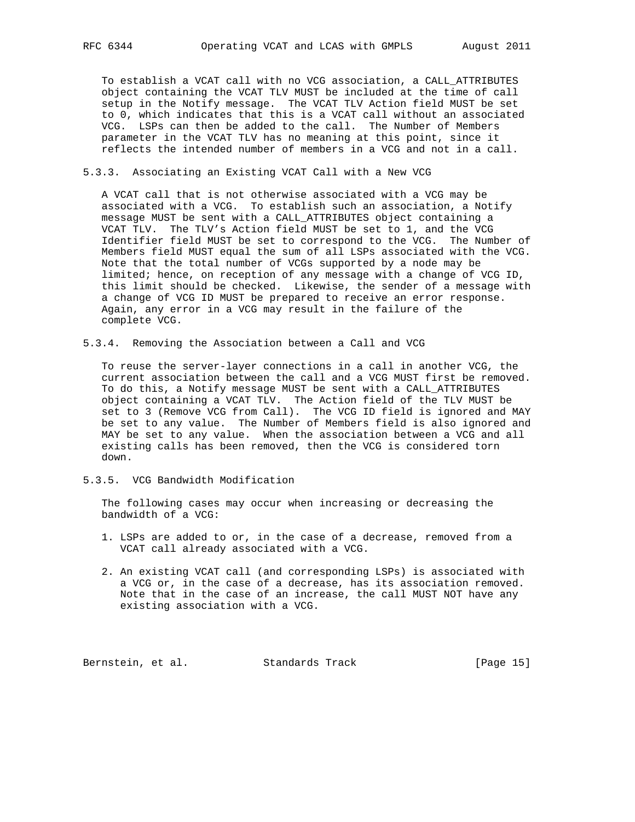To establish a VCAT call with no VCG association, a CALL\_ATTRIBUTES object containing the VCAT TLV MUST be included at the time of call setup in the Notify message. The VCAT TLV Action field MUST be set to 0, which indicates that this is a VCAT call without an associated VCG. LSPs can then be added to the call. The Number of Members parameter in the VCAT TLV has no meaning at this point, since it reflects the intended number of members in a VCG and not in a call.

#### 5.3.3. Associating an Existing VCAT Call with a New VCG

 A VCAT call that is not otherwise associated with a VCG may be associated with a VCG. To establish such an association, a Notify message MUST be sent with a CALL\_ATTRIBUTES object containing a VCAT TLV. The TLV's Action field MUST be set to 1, and the VCG Identifier field MUST be set to correspond to the VCG. The Number of Members field MUST equal the sum of all LSPs associated with the VCG. Note that the total number of VCGs supported by a node may be limited; hence, on reception of any message with a change of VCG ID, this limit should be checked. Likewise, the sender of a message with a change of VCG ID MUST be prepared to receive an error response. Again, any error in a VCG may result in the failure of the complete VCG.

5.3.4. Removing the Association between a Call and VCG

 To reuse the server-layer connections in a call in another VCG, the current association between the call and a VCG MUST first be removed. To do this, a Notify message MUST be sent with a CALL\_ATTRIBUTES object containing a VCAT TLV. The Action field of the TLV MUST be set to 3 (Remove VCG from Call). The VCG ID field is ignored and MAY be set to any value. The Number of Members field is also ignored and MAY be set to any value. When the association between a VCG and all existing calls has been removed, then the VCG is considered torn down.

5.3.5. VCG Bandwidth Modification

 The following cases may occur when increasing or decreasing the bandwidth of a VCG:

- 1. LSPs are added to or, in the case of a decrease, removed from a VCAT call already associated with a VCG.
- 2. An existing VCAT call (and corresponding LSPs) is associated with a VCG or, in the case of a decrease, has its association removed. Note that in the case of an increase, the call MUST NOT have any existing association with a VCG.

Bernstein, et al. Standards Track [Page 15]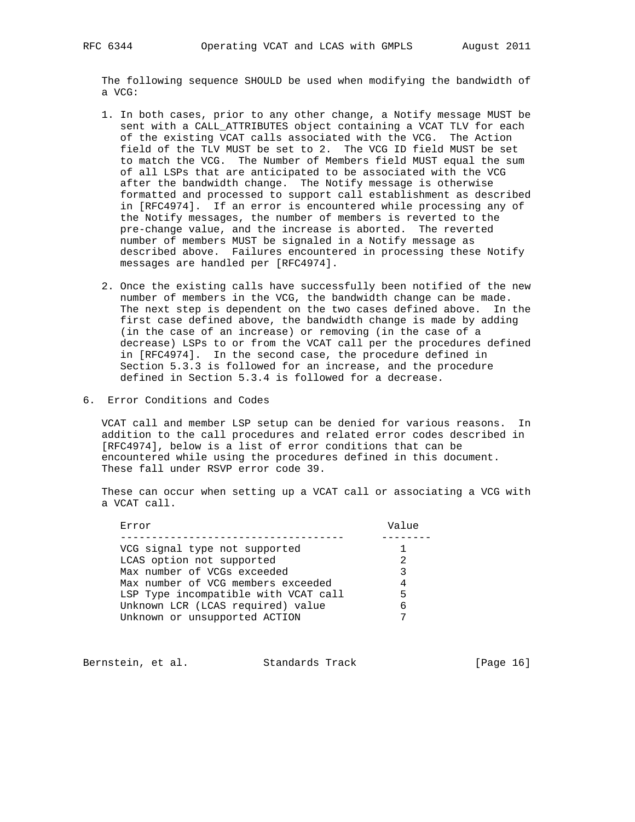The following sequence SHOULD be used when modifying the bandwidth of a VCG:

- 1. In both cases, prior to any other change, a Notify message MUST be sent with a CALL\_ATTRIBUTES object containing a VCAT TLV for each of the existing VCAT calls associated with the VCG. The Action field of the TLV MUST be set to 2. The VCG ID field MUST be set to match the VCG. The Number of Members field MUST equal the sum of all LSPs that are anticipated to be associated with the VCG after the bandwidth change. The Notify message is otherwise formatted and processed to support call establishment as described in [RFC4974]. If an error is encountered while processing any of the Notify messages, the number of members is reverted to the pre-change value, and the increase is aborted. The reverted number of members MUST be signaled in a Notify message as described above. Failures encountered in processing these Notify messages are handled per [RFC4974].
- 2. Once the existing calls have successfully been notified of the new number of members in the VCG, the bandwidth change can be made. The next step is dependent on the two cases defined above. In the first case defined above, the bandwidth change is made by adding (in the case of an increase) or removing (in the case of a decrease) LSPs to or from the VCAT call per the procedures defined in [RFC4974]. In the second case, the procedure defined in Section 5.3.3 is followed for an increase, and the procedure defined in Section 5.3.4 is followed for a decrease.
- 6. Error Conditions and Codes

 VCAT call and member LSP setup can be denied for various reasons. In addition to the call procedures and related error codes described in [RFC4974], below is a list of error conditions that can be encountered while using the procedures defined in this document. These fall under RSVP error code 39.

 These can occur when setting up a VCAT call or associating a VCG with a VCAT call.

| Error                                | Value         |
|--------------------------------------|---------------|
|                                      |               |
| VCG signal type not supported        |               |
| LCAS option not supported            | $\mathcal{L}$ |
| Max number of VCGs exceeded          | ς             |
| Max number of VCG members exceeded   |               |
| LSP Type incompatible with VCAT call | 5             |
| Unknown LCR (LCAS required) value    | 6             |
| Unknown or unsupported ACTION        |               |
|                                      |               |

Bernstein, et al. Standards Track [Page 16]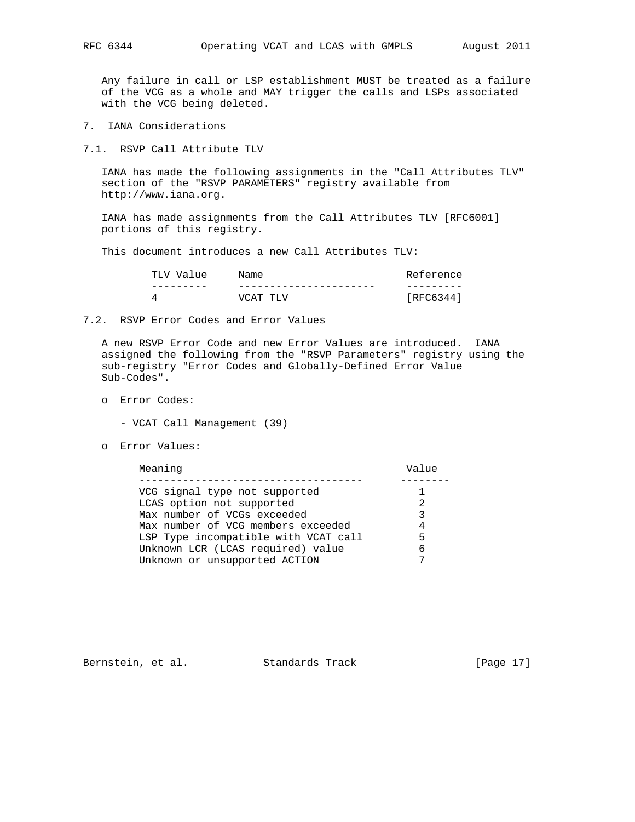Any failure in call or LSP establishment MUST be treated as a failure of the VCG as a whole and MAY trigger the calls and LSPs associated with the VCG being deleted.

- 7. IANA Considerations
- 7.1. RSVP Call Attribute TLV

 IANA has made the following assignments in the "Call Attributes TLV" section of the "RSVP PARAMETERS" registry available from http://www.iana.org.

 IANA has made assignments from the Call Attributes TLV [RFC6001] portions of this registry.

This document introduces a new Call Attributes TLV:

| Value<br>TLV | Name     | Reference |
|--------------|----------|-----------|
|              |          |           |
|              | VCAT TLV | RFC6344   |

#### 7.2. RSVP Error Codes and Error Values

 A new RSVP Error Code and new Error Values are introduced. IANA assigned the following from the "RSVP Parameters" registry using the sub-registry "Error Codes and Globally-Defined Error Value Sub-Codes".

- o Error Codes:
	- VCAT Call Management (39)
- o Error Values:

Meaning **Value** 

| VCG signal type not supported        |   |
|--------------------------------------|---|
| LCAS option not supported            | 2 |
| Max number of VCGs exceeded          | 3 |
| Max number of VCG members exceeded   | 4 |
| LSP Type incompatible with VCAT call | 5 |
| Unknown LCR (LCAS required) value    | 6 |
| Unknown or unsupported ACTION        |   |
|                                      |   |

Bernstein, et al. Standards Track [Page 17]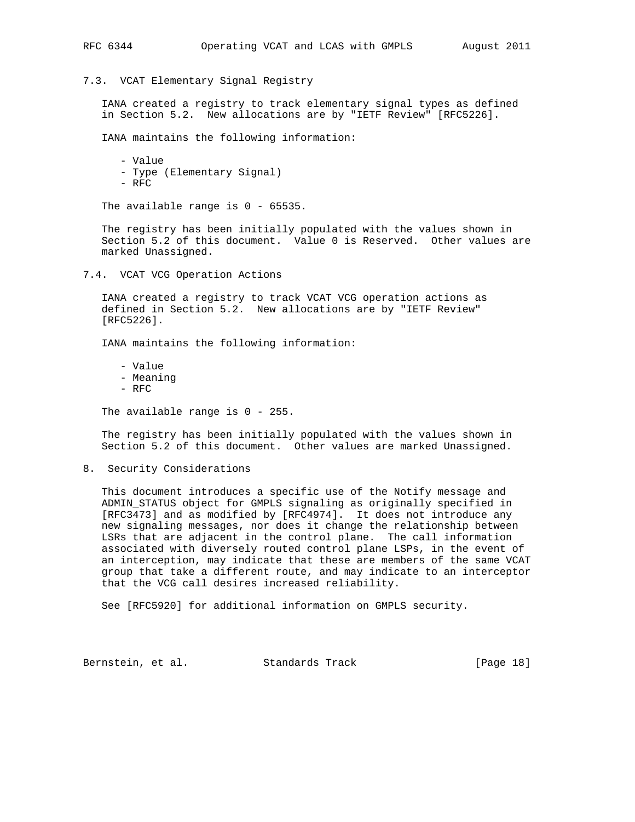## 7.3. VCAT Elementary Signal Registry

 IANA created a registry to track elementary signal types as defined in Section 5.2. New allocations are by "IETF Review" [RFC5226].

IANA maintains the following information:

 - Value - Type (Elementary Signal) - RFC

The available range is 0 - 65535.

 The registry has been initially populated with the values shown in Section 5.2 of this document. Value 0 is Reserved. Other values are marked Unassigned.

7.4. VCAT VCG Operation Actions

 IANA created a registry to track VCAT VCG operation actions as defined in Section 5.2. New allocations are by "IETF Review" [RFC5226].

IANA maintains the following information:

- Value - Meaning
- RFC

The available range is 0 - 255.

 The registry has been initially populated with the values shown in Section 5.2 of this document. Other values are marked Unassigned.

8. Security Considerations

 This document introduces a specific use of the Notify message and ADMIN\_STATUS object for GMPLS signaling as originally specified in [RFC3473] and as modified by [RFC4974]. It does not introduce any new signaling messages, nor does it change the relationship between LSRs that are adjacent in the control plane. The call information associated with diversely routed control plane LSPs, in the event of an interception, may indicate that these are members of the same VCAT group that take a different route, and may indicate to an interceptor that the VCG call desires increased reliability.

See [RFC5920] for additional information on GMPLS security.

Bernstein, et al. Standards Track [Page 18]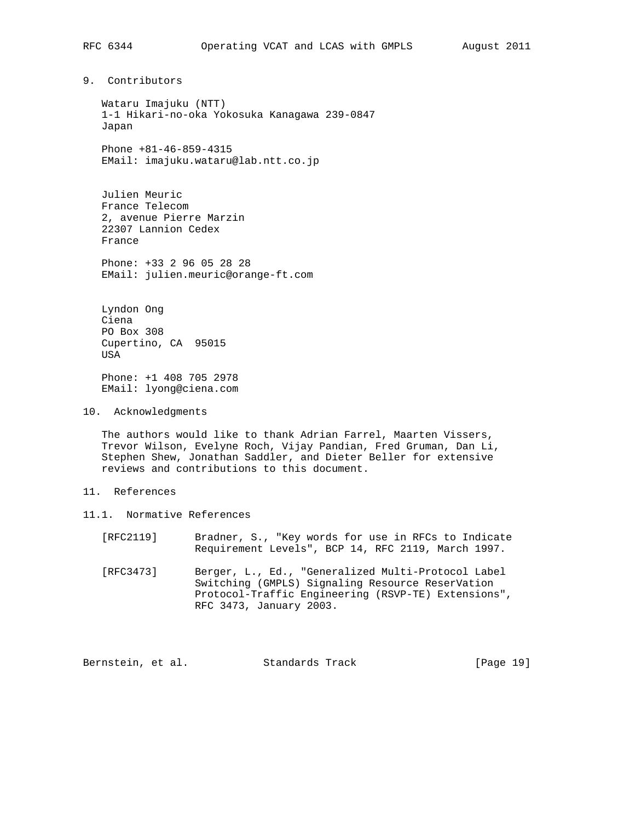9. Contributors

 Wataru Imajuku (NTT) 1-1 Hikari-no-oka Yokosuka Kanagawa 239-0847 Japan

 Phone +81-46-859-4315 EMail: imajuku.wataru@lab.ntt.co.jp

 Julien Meuric France Telecom 2, avenue Pierre Marzin 22307 Lannion Cedex France

 Phone: +33 2 96 05 28 28 EMail: julien.meuric@orange-ft.com

 Lyndon Ong Ciena PO Box 308 Cupertino, CA 95015 USA

 Phone: +1 408 705 2978 EMail: lyong@ciena.com

10. Acknowledgments

 The authors would like to thank Adrian Farrel, Maarten Vissers, Trevor Wilson, Evelyne Roch, Vijay Pandian, Fred Gruman, Dan Li, Stephen Shew, Jonathan Saddler, and Dieter Beller for extensive reviews and contributions to this document.

- 11. References
- 11.1. Normative References
	- [RFC2119] Bradner, S., "Key words for use in RFCs to Indicate Requirement Levels", BCP 14, RFC 2119, March 1997.
	- [RFC3473] Berger, L., Ed., "Generalized Multi-Protocol Label Switching (GMPLS) Signaling Resource ReserVation Protocol-Traffic Engineering (RSVP-TE) Extensions", RFC 3473, January 2003.

Bernstein, et al. Standards Track [Page 19]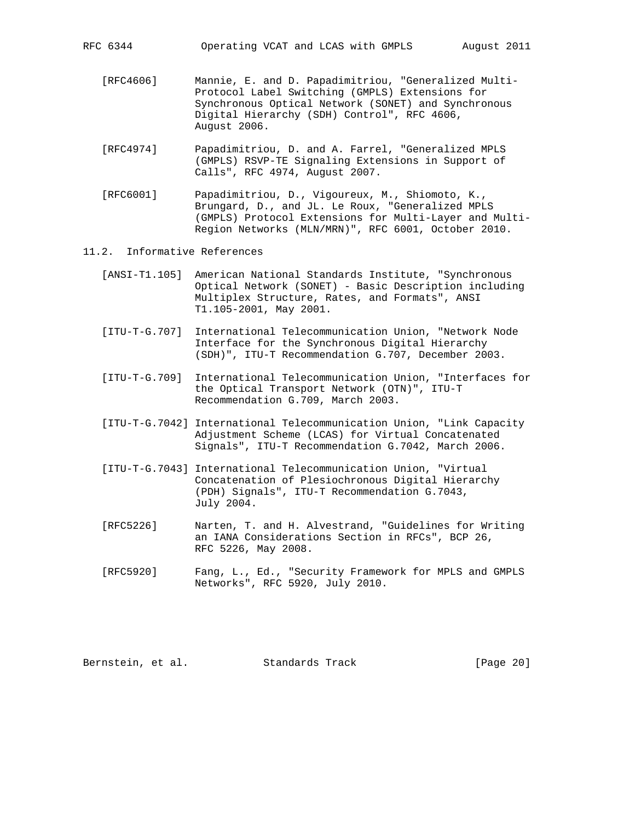RFC 6344 Operating VCAT and LCAS with GMPLS August 2011

- [RFC4606] Mannie, E. and D. Papadimitriou, "Generalized Multi- Protocol Label Switching (GMPLS) Extensions for Synchronous Optical Network (SONET) and Synchronous Digital Hierarchy (SDH) Control", RFC 4606, August 2006.
- [RFC4974] Papadimitriou, D. and A. Farrel, "Generalized MPLS (GMPLS) RSVP-TE Signaling Extensions in Support of Calls", RFC 4974, August 2007.
- [RFC6001] Papadimitriou, D., Vigoureux, M., Shiomoto, K., Brungard, D., and JL. Le Roux, "Generalized MPLS (GMPLS) Protocol Extensions for Multi-Layer and Multi- Region Networks (MLN/MRN)", RFC 6001, October 2010.

## 11.2. Informative References

- [ANSI-T1.105] American National Standards Institute, "Synchronous Optical Network (SONET) - Basic Description including Multiplex Structure, Rates, and Formats", ANSI T1.105-2001, May 2001.
- [ITU-T-G.707] International Telecommunication Union, "Network Node Interface for the Synchronous Digital Hierarchy (SDH)", ITU-T Recommendation G.707, December 2003.
- [ITU-T-G.709] International Telecommunication Union, "Interfaces for the Optical Transport Network (OTN)", ITU-T Recommendation G.709, March 2003.
- [ITU-T-G.7042] International Telecommunication Union, "Link Capacity Adjustment Scheme (LCAS) for Virtual Concatenated Signals", ITU-T Recommendation G.7042, March 2006.
- [ITU-T-G.7043] International Telecommunication Union, "Virtual Concatenation of Plesiochronous Digital Hierarchy (PDH) Signals", ITU-T Recommendation G.7043, July 2004.
- [RFC5226] Narten, T. and H. Alvestrand, "Guidelines for Writing an IANA Considerations Section in RFCs", BCP 26, RFC 5226, May 2008.
- [RFC5920] Fang, L., Ed., "Security Framework for MPLS and GMPLS Networks", RFC 5920, July 2010.

Bernstein, et al. Standards Track [Page 20]